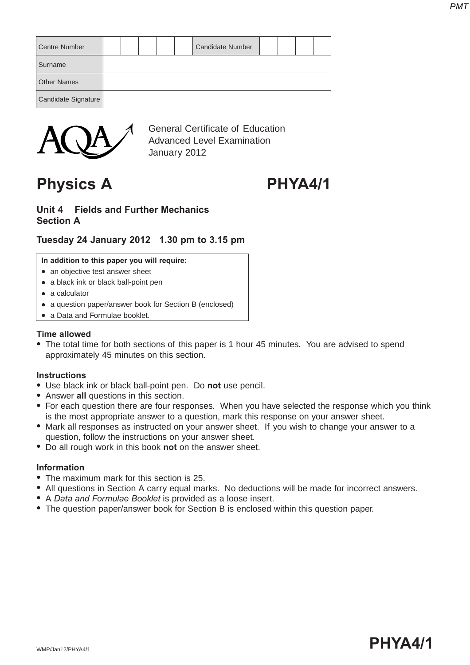| <b>Centre Number</b> |  |  | <b>Candidate Number</b> |  |  |
|----------------------|--|--|-------------------------|--|--|
| Surname              |  |  |                         |  |  |
| <b>Other Names</b>   |  |  |                         |  |  |
| Candidate Signature  |  |  |                         |  |  |



General Certificate of Education Advanced Level Examination January 2012

## **Physics A PHYA4/1**

#### **Unit 4 Fields and Further Mechanics Section A**

### **Tuesday 24 January 2012 1.30 pm to 3.15 pm**

**In addition to this paper you will require:**

- an objective test answer sheet
- a black ink or black ball-point pen
- $\bullet$  a calculator
- a question paper/answer book for Section B (enclosed)
- a Data and Formulae booklet.

#### **Time allowed**

• The total time for both sections of this paper is 1 hour 45 minutes. You are advised to spend approximately 45 minutes on this section.

#### **Instructions**

- **.** Use black ink or black ball-point pen. Do not use pencil.
- Answer all questions in this section.
- For each question there are four responses. When you have selected the response which you think is the most appropriate answer to a question, mark this response on your answer sheet.
- Mark all responses as instructed on your answer sheet. If you wish to change your answer to a question, follow the instructions on your answer sheet.
- Do all rough work in this book not on the answer sheet.

#### **Information**

- The maximum mark for this section is 25.
- All questions in Section A carry equal marks. No deductions will be made for incorrect answers.
- A *Data and Formulae Booklet* is provided as a loose insert.
- The question paper/answer book for Section B is enclosed within this question paper.

# wmp/Jan12/PHYA4/1  $\blacksquare$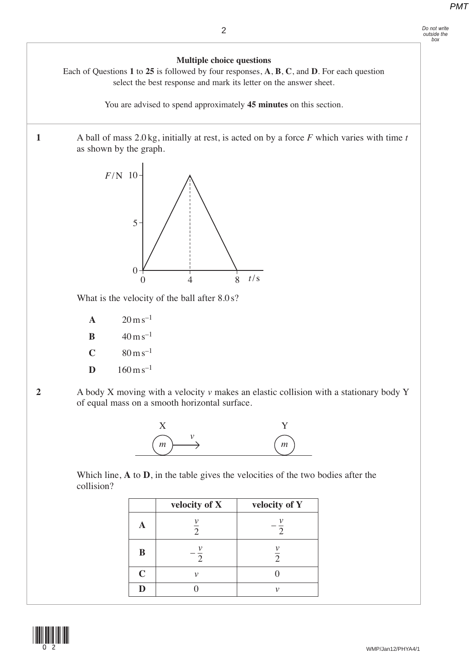# *Do not write outside the box*

**Multiple choice questions** Each of Questions **1** to **25** is followed by four responses, **A**, **B**, **C**, and **D**. For each question select the best response and mark its letter on the answer sheet.

You are advised to spend approximately **45 minutes** on this section. **1** A ball of mass 2.0 kg, initially at rest, is acted on by a force *F* which varies with time *t* as shown by the graph. What is the velocity of the ball after  $8.0 \text{ s}$ ? **A**  $20 \text{ m s}^{-1}$ **B**  $40 \text{ m s}^{-1}$ **C**  $80 \text{ m s}^{-1}$ **D**  $160 \text{ m s}^{-1}$ **2** A body X moving with a velocity *v* makes an elastic collision with a stationary body Y of equal mass on a smooth horizontal surface.  $\Omega$ 0 8 4 *t*/s *F*/N 10 5



Which line, **A** to **D**, in the table gives the velocities of the two bodies after the collision?

|             | velocity of X       | velocity of Y  |
|-------------|---------------------|----------------|
|             | $\overline{\Omega}$ | $\overline{2}$ |
| B           | $\mathcal{D}$       | $\overline{2}$ |
| $\mathbf C$ |                     |                |
| D           |                     | 1)             |

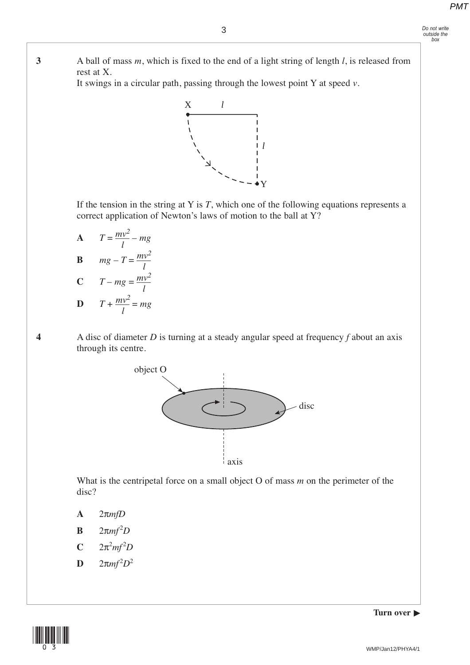**3** A ball of mass *m*, which is fixed to the end of a light string of length *l*, is released from rest at X.

It swings in a circular path, passing through the lowest point Y at speed *v*.



 If the tension in the string at Y is *T*, which one of the following equations represents a correct application of Newton's laws of motion to the ball at Y?

**A**  $T = \frac{mv^2}{l} - mg$ **B**  $mg - T = \frac{mv}{l}$ **C**  $T - mg = \frac{mv}{l}$ *mv<sup>2</sup> l mv<sup>2</sup> l mv2 l*

$$
D \qquad T + \frac{mv^2}{l} = mg
$$

**4** A disc of diameter *D* is turning at a steady angular speed at frequency *f* about an axis through its centre.



 What is the centripetal force on a small object O of mass *m* on the perimeter of the disc?

- **A** 2π*mfD*
- **B**  $2\pi mf^2D$
- $C = 2\pi^2 mf^2D$
- **D**  $2\pi mf^2D^2$

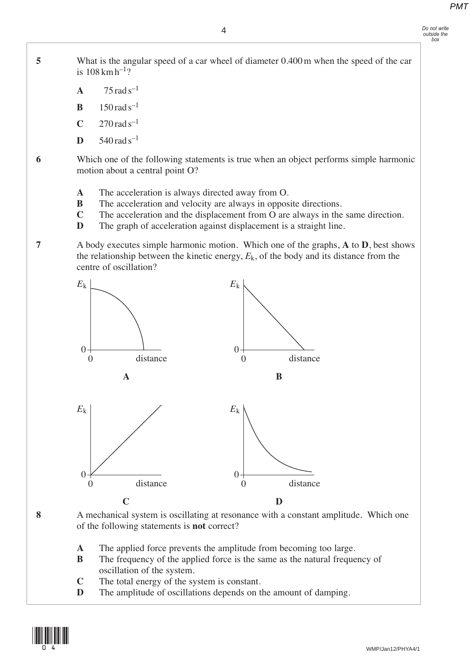**5** What is the angular speed of a car wheel of diameter 0.400 m when the speed of the car is  $108 \,\mathrm{km} \,\mathrm{h}^{-1}$ ?

- **A**  $75 \text{ rad s}^{-1}$
- **B** 150  $rad s^{-1}$
- $C = 270$  rad s<sup>-1</sup>
- **D**  $540 \text{ rad s}^{-1}$

 **6** Which one of the following statements is true when an object performs simple harmonic motion about a central point O?

- **A** The acceleration is always directed away from O.
- **B** The acceleration and velocity are always in opposite directions.
- **C** The acceleration and the displacement from O are always in the same direction.
- **D** The graph of acceleration against displacement is a straight line.

 **7** A body executes simple harmonic motion. Which one of the graphs, **A** to **D**, best shows the relationship between the kinetic energy,  $E_k$ , of the body and its distance from the centre of oscillation?



 **8** A mechanical system is oscillating at resonance with a constant amplitude. Which one of the following statements is **not** correct?

- **A** The applied force prevents the amplitude from becoming too large.
- **B** The frequency of the applied force is the same as the natural frequency of oscillation of the system.
- **C** The total energy of the system is constant.
- **D** The amplitude of oscillations depends on the amount of damping.

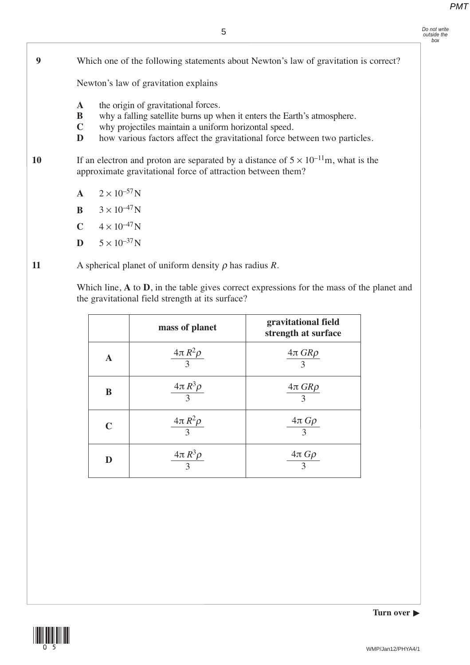*Do not write outside the box*

### **9** Which one of the following statements about Newton's law of gravitation is correct?

Newton's law of gravitation explains

- **A** the origin of gravitational forces.
- **B** why a falling satellite burns up when it enters the Earth's atmosphere.
- **C** why projectiles maintain a uniform horizontal speed.
- **D** how various factors affect the gravitational force between two particles.
- 10 If an electron and proton are separated by a distance of  $5 \times 10^{-11}$ m, what is the approximate gravitational force of attraction between them?
	- **A**  $2 \times 10^{-57}$ N
	- **B**  $3 \times 10^{-47}$ N
	- $C = 4 \times 10^{-47} N$
	- $D = 5 \times 10^{-37} N$
- **11** A spherical planet of uniform density ρ has radius *R*.

Which line, **A** to **D**, in the table gives correct expressions for the mass of the planet and the gravitational field strength at its surface?

|   | mass of planet            | gravitational field<br>strength at surface |
|---|---------------------------|--------------------------------------------|
| A | $4\pi R^2 \rho$           | $4\pi GR\rho$<br>$\mathcal{R}$             |
| B | $\frac{4\pi R^3 \rho}{3}$ | $4\pi$ $GR\rho$                            |
| C | $\frac{4\pi R^2 \rho}{3}$ | $\frac{4\pi\,G\rho}{3}$                    |
|   | $\frac{4\pi R^3 \rho}{3}$ | $\frac{4\pi G\rho}{3}$                     |

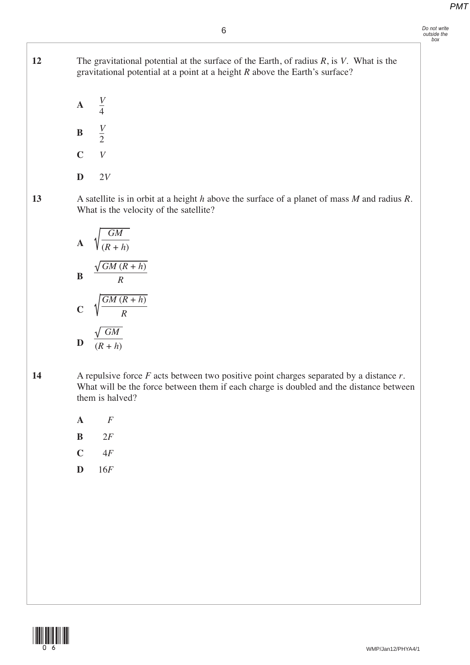6

**12** The gravitational potential at the surface of the Earth, of radius *R*, is *V*. What is the gravitational potential at a point at a height *R* above the Earth's surface?

 **A** – **B** – **C** *V* **D** 2*V V* 4 *V* 2

**13** A satellite is in orbit at a height *h* above the surface of a planet of mass *M* and radius *R*. What is the velocity of the satellite?

A 
$$
\sqrt{\frac{GM}{(R+h)}}
$$
  
\nB  $\frac{\sqrt{GM (R+h)}}{R}$   
\nC  $\sqrt{\frac{GM (R+h)}{R}}$   
\nD  $\frac{\sqrt{GM}}{(R+h)}$ 

**14** A repulsive force *F* acts between two positive point charges separated by a distance *r*. What will be the force between them if each charge is doubled and the distance between them is halved?

- **A** 16*F*
	- **B**  $2F$
	- **C** 14*F*
	- **D** 16*F*

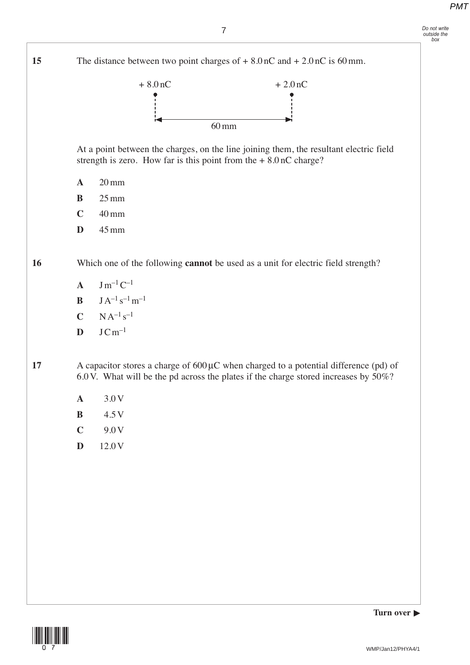*Do not write outside the box*



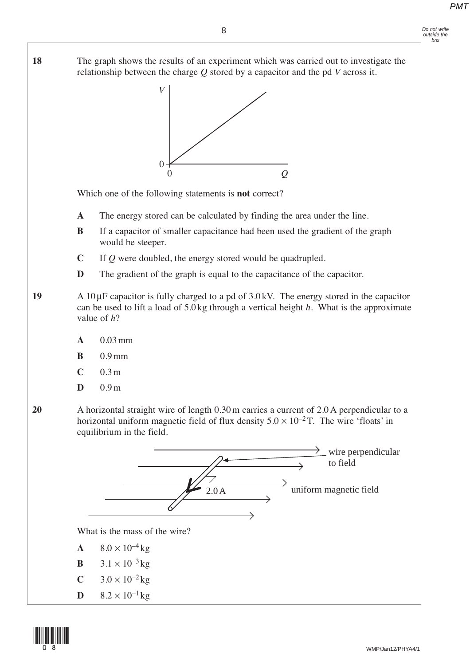#### 8

*Do not write outside the box*

**18** The graph shows the results of an experiment which was carried out to investigate the relationship between the charge *Q* stored by a capacitor and the pd *V* across it.



Which one of the following statements is **not** correct?

- **A** The energy stored can be calculated by finding the area under the line.
- **B** If a capacitor of smaller capacitance had been used the gradient of the graph would be steeper.
- **C** If *Q* were doubled, the energy stored would be quadrupled.
- **D** The gradient of the graph is equal to the capacitance of the capacitor.
- **19** A 10μF capacitor is fully charged to a pd of 3.0 kV. The energy stored in the capacitor can be used to lift a load of 5.0 kg through a vertical height *h*. What is the approximate value of *h*?
	- **A** 0.03 mm
	- **B** 0.9 mm
	- **C** 0.3 m
	- **D** 0.9 m
- **20** A horizontal straight wire of length 0.30 m carries a current of 2.0 A perpendicular to a horizontal uniform magnetic field of flux density  $5.0 \times 10^{-2}$  T. The wire 'floats' in equilibrium in the field.



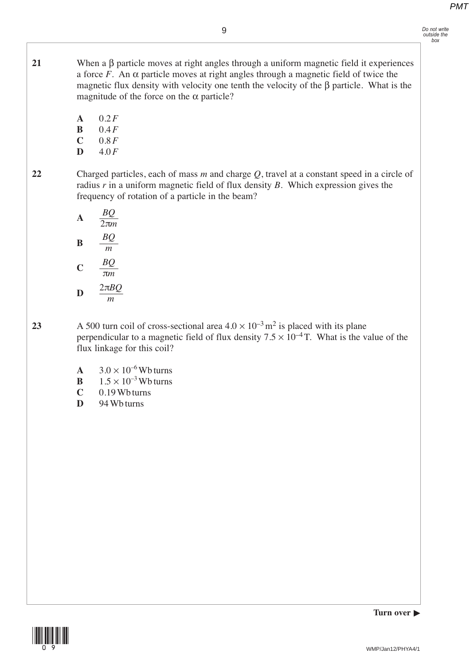- **21** When a β particle moves at right angles through a uniform magnetic field it experiences a force  $\ddot{F}$ . An  $\alpha$  particle moves at right angles through a magnetic field of twice the magnetic flux density with velocity one tenth the velocity of the β particle. What is the magnitude of the force on the  $\alpha$  particle?
	- **A** 0.2*F*
	- **B** 0.4*F*
	- **C** 0.8*F*
	- **D** 4.0*F*
- 

**22** Charged particles, each of mass *m* and charge *Q*, travel at a constant speed in a circle of radius *r* in a uniform magnetic field of flux density *B*. Which expression gives the frequency of rotation of a particle in the beam?

| $\mathbf{A}$ | $rac{BQ}{2\pi m}$    |
|--------------|----------------------|
| B            | BQ<br>$\mathfrak{m}$ |
| C            | BQ<br>$\pi m$        |
| D            | $2\pi BQ$<br>т       |

- 23 A 500 turn coil of cross-sectional area  $4.0 \times 10^{-3}$  m<sup>2</sup> is placed with its plane perpendicular to a magnetic field of flux density  $7.5 \times 10^{-4}$  T. What is the value of the flux linkage for this coil?
	- **A**  $3.0 \times 10^{-6}$  Wb turns
	- **B**  $1.5 \times 10^{-3}$  Wb turns
	- **C** 0.19 Wb turns
	- **D** 94 Wb turns

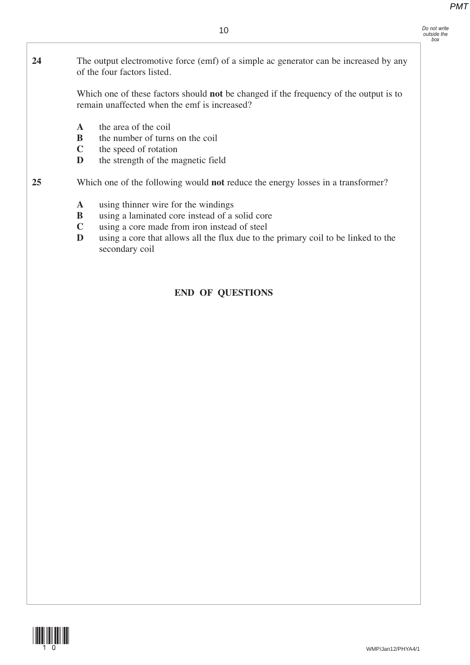- *Do not write outside the box*
- **24** The output electromotive force (emf) of a simple ac generator can be increased by any

 Which one of these factors should **not** be changed if the frequency of the output is to remain unaffected when the emf is increased?

**A** the area of the coil

of the four factors listed.

- **B** the number of turns on the coil
- **C** the speed of rotation
- **D** the strength of the magnetic field

**25** Which one of the following would **not** reduce the energy losses in a transformer?

- **A** using thinner wire for the windings
- **B** using a laminated core instead of a solid core
- **C** using a core made from iron instead of steel
- **D** using a core that allows all the flux due to the primary coil to be linked to the secondary coil

### **END OF QUESTIONS**

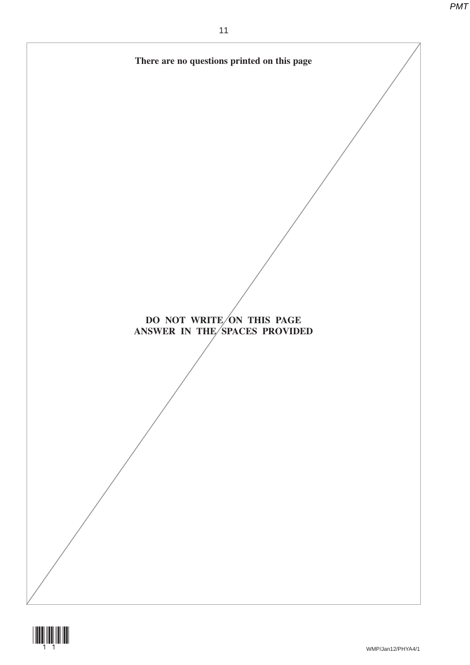